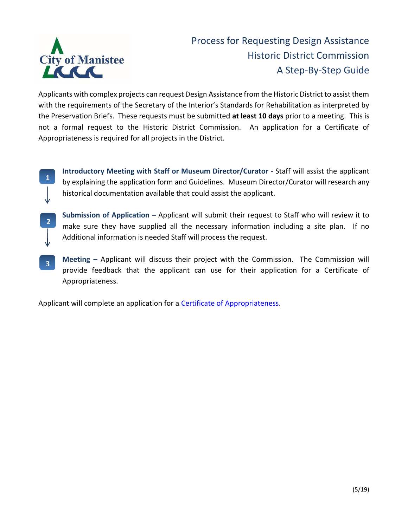

## Process for Requesting Design Assistance Historic District Commission A Step-By-Step Guide

Applicants with complex projects can request Design Assistance from the Historic District to assist them with the requirements of the Secretary of the Interior's Standards for Rehabilitation as interpreted by the Preservation Briefs. These requests must be submitted **at least 10 days** prior to a meeting. This is not a formal request to the Historic District Commission. An application for a Certificate of Appropriateness is required for all projects in the District.

**1**

**2**

**Introductory Meeting with Staff or Museum Director/Curator -** Staff will assist the applicant by explaining the application form and Guidelines. Museum Director/Curator will research any historical documentation available that could assist the applicant.

- **Submission of Application –** Applicant will submit their request to Staff who will review it to make sure they have supplied all the necessary information including a site plan. If no Additional information is needed Staff will process the request.
- **Meeting –** Applicant will discuss their project with the Commission. The Commission will provide feedback that the applicant can use for their application for a Certificate of Appropriateness. **3**

Applicant will complete an application for a **Certificate of Appropriateness**.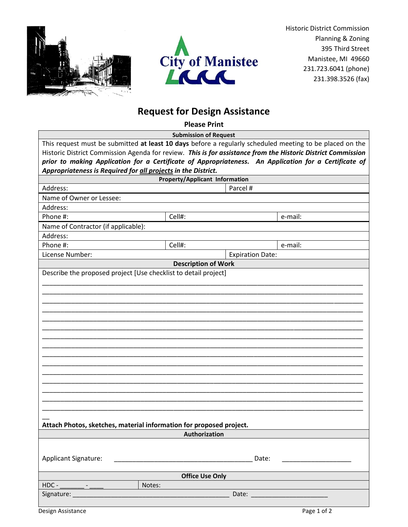



Historic District Commission Planning & Zoning 395 Third Street Manistee, MI 49660 231.723.6041 (phone) 231.398.3526 (fax)

## **Request for Design Assistance**

**Please Print Submission of Request** This request must be submitted **at least 10 days** before a regularly scheduled meeting to be placed on the Historic District Commission Agenda for review. *This is for assistance from the Historic District Commission prior to making Application for a Certificate of Appropriateness. An Application for a Certificate of Appropriateness is Required for all projects in the District.*  **Property/Applicant Information** Address: Parcel # Name of Owner or Lessee: Address: Phone #: Cell#: e-mail: Name of Contractor (if applicable): Address: Phone #: Cell#: e-mail: License Number: Expiration Date: **Description of Work** Describe the proposed project [Use checklist to detail project] \_\_\_\_\_\_\_\_\_\_\_\_\_\_\_\_\_\_\_\_\_\_\_\_\_\_\_\_\_\_\_\_\_\_\_\_\_\_\_\_\_\_\_\_\_\_\_\_\_\_\_\_\_\_\_\_\_\_\_\_\_\_\_\_\_\_\_\_\_\_\_\_\_\_\_\_\_\_\_\_\_\_\_\_\_\_\_\_ \_\_\_\_\_\_\_\_\_\_\_\_\_\_\_\_\_\_\_\_\_\_\_\_\_\_\_\_\_\_\_\_\_\_\_\_\_\_\_\_\_\_\_\_\_\_\_\_\_\_\_\_\_\_\_\_\_\_\_\_\_\_\_\_\_\_\_\_\_\_\_\_\_\_\_\_\_\_\_\_\_\_\_\_\_\_\_\_ \_\_\_\_\_\_\_\_\_\_\_\_\_\_\_\_\_\_\_\_\_\_\_\_\_\_\_\_\_\_\_\_\_\_\_\_\_\_\_\_\_\_\_\_\_\_\_\_\_\_\_\_\_\_\_\_\_\_\_\_\_\_\_\_\_\_\_\_\_\_\_\_\_\_\_\_\_\_\_\_\_\_\_\_\_\_\_\_ \_\_\_\_\_\_\_\_\_\_\_\_\_\_\_\_\_\_\_\_\_\_\_\_\_\_\_\_\_\_\_\_\_\_\_\_\_\_\_\_\_\_\_\_\_\_\_\_\_\_\_\_\_\_\_\_\_\_\_\_\_\_\_\_\_\_\_\_\_\_\_\_\_\_\_\_\_\_\_\_\_\_\_\_\_\_\_\_ \_\_\_\_\_\_\_\_\_\_\_\_\_\_\_\_\_\_\_\_\_\_\_\_\_\_\_\_\_\_\_\_\_\_\_\_\_\_\_\_\_\_\_\_\_\_\_\_\_\_\_\_\_\_\_\_\_\_\_\_\_\_\_\_\_\_\_\_\_\_\_\_\_\_\_\_\_\_\_\_\_\_\_\_\_\_\_\_ \_\_\_\_\_\_\_\_\_\_\_\_\_\_\_\_\_\_\_\_\_\_\_\_\_\_\_\_\_\_\_\_\_\_\_\_\_\_\_\_\_\_\_\_\_\_\_\_\_\_\_\_\_\_\_\_\_\_\_\_\_\_\_\_\_\_\_\_\_\_\_\_\_\_\_\_\_\_\_\_\_\_\_\_\_\_\_\_ \_\_\_\_\_\_\_\_\_\_\_\_\_\_\_\_\_\_\_\_\_\_\_\_\_\_\_\_\_\_\_\_\_\_\_\_\_\_\_\_\_\_\_\_\_\_\_\_\_\_\_\_\_\_\_\_\_\_\_\_\_\_\_\_\_\_\_\_\_\_\_\_\_\_\_\_\_\_\_\_\_\_\_\_\_\_\_\_ \_\_\_\_\_\_\_\_\_\_\_\_\_\_\_\_\_\_\_\_\_\_\_\_\_\_\_\_\_\_\_\_\_\_\_\_\_\_\_\_\_\_\_\_\_\_\_\_\_\_\_\_\_\_\_\_\_\_\_\_\_\_\_\_\_\_\_\_\_\_\_\_\_\_\_\_\_\_\_\_\_\_\_\_\_\_\_\_ \_\_\_\_\_\_\_\_\_\_\_\_\_\_\_\_\_\_\_\_\_\_\_\_\_\_\_\_\_\_\_\_\_\_\_\_\_\_\_\_\_\_\_\_\_\_\_\_\_\_\_\_\_\_\_\_\_\_\_\_\_\_\_\_\_\_\_\_\_\_\_\_\_\_\_\_\_\_\_\_\_\_\_\_\_\_\_\_ \_\_\_\_\_\_\_\_\_\_\_\_\_\_\_\_\_\_\_\_\_\_\_\_\_\_\_\_\_\_\_\_\_\_\_\_\_\_\_\_\_\_\_\_\_\_\_\_\_\_\_\_\_\_\_\_\_\_\_\_\_\_\_\_\_\_\_\_\_\_\_\_\_\_\_\_\_\_\_\_\_\_\_\_\_\_\_\_ \_\_\_\_\_\_\_\_\_\_\_\_\_\_\_\_\_\_\_\_\_\_\_\_\_\_\_\_\_\_\_\_\_\_\_\_\_\_\_\_\_\_\_\_\_\_\_\_\_\_\_\_\_\_\_\_\_\_\_\_\_\_\_\_\_\_\_\_\_\_\_\_\_\_\_\_\_\_\_\_\_\_\_\_\_\_\_\_ \_\_\_\_\_\_\_\_\_\_\_\_\_\_\_\_\_\_\_\_\_\_\_\_\_\_\_\_\_\_\_\_\_\_\_\_\_\_\_\_\_\_\_\_\_\_\_\_\_\_\_\_\_\_\_\_\_\_\_\_\_\_\_\_\_\_\_\_\_\_\_\_\_\_\_\_\_\_\_\_\_\_\_\_\_\_\_\_ \_\_\_\_\_\_\_\_\_\_\_\_\_\_\_\_\_\_\_\_\_\_\_\_\_\_\_\_\_\_\_\_\_\_\_\_\_\_\_\_\_\_\_\_\_\_\_\_\_\_\_\_\_\_\_\_\_\_\_\_\_\_\_\_\_\_\_\_\_\_\_\_\_\_\_\_\_\_\_\_\_\_\_\_\_\_\_\_ \_\_\_\_\_\_\_\_\_\_\_\_\_\_\_\_\_\_\_\_\_\_\_\_\_\_\_\_\_\_\_\_\_\_\_\_\_\_\_\_\_\_\_\_\_\_\_\_\_\_\_\_\_\_\_\_\_\_\_\_\_\_\_\_\_\_\_\_\_\_\_\_\_\_\_\_\_\_\_\_\_\_\_\_\_\_\_\_ \_\_\_\_\_\_\_\_\_\_\_\_\_\_\_\_\_\_\_\_\_\_\_\_\_\_\_\_\_\_\_\_\_\_\_\_\_\_\_\_\_\_\_\_\_\_\_\_\_\_\_\_\_\_\_\_\_\_\_\_\_\_\_\_\_\_\_\_\_\_\_\_\_\_\_\_\_\_\_\_\_\_\_\_\_\_\_\_  $\overline{\phantom{a}}$ **Attach Photos, sketches, material information for proposed project. Authorization**

| Applicant Signature:                |        | Date: |
|-------------------------------------|--------|-------|
| <b>Office Use Only</b>              |        |       |
| $HDC -$<br>$\overline{\phantom{0}}$ | Notes: |       |
| Signature:                          | Date:  |       |